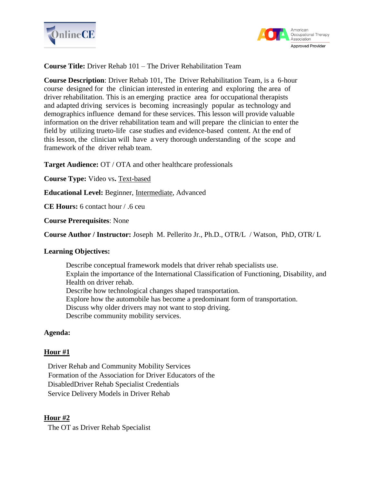



**Course Title:** Driver Rehab 101 – The Driver Rehabilitation Team

**Course Description**: Driver Rehab 101, The Driver Rehabilitation Team, is a 6-hour course designed for the clinician interested in entering and exploring the area of driver rehabilitation. This is an emerging practice area for occupational therapists and adapted driving services is becoming increasingly popular as technology and demographics influence demand for these services. This lesson will provide valuable information on the driver rehabilitation team and will prepare the clinician to enter the field by utilizing trueto-life case studies and evidence-based content. At the end of this lesson, the clinician will have a very thorough understanding of the scope and framework of the driver rehab team.

**Target Audience:** OT / OTA and other healthcare professionals

**Course Type:** Video vs**.** Text-based

**Educational Level:** Beginner, Intermediate, Advanced

**CE Hours:** 6 contact hour / .6 ceu

**Course Prerequisites**: None

**Course Author / Instructor:** Joseph M. Pellerito Jr., Ph.D., OTR/L / Watson, PhD, OTR/ L

### **Learning Objectives:**

Describe conceptual framework models that driver rehab specialists use. Explain the importance of the International Classification of Functioning, Disability, and Health on driver rehab. Describe how technological changes shaped transportation. Explore how the automobile has become a predominant form of transportation. Discuss why older drivers may not want to stop driving. Describe community mobility services.

# **Agenda:**

### **Hour #1**

Driver Rehab and Community Mobility Services Formation of the Association for Driver Educators of the DisabledDriver Rehab Specialist Credentials Service Delivery Models in Driver Rehab

### **Hour #2**

The OT as Driver Rehab Specialist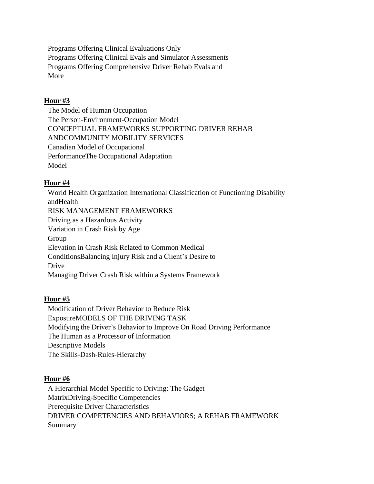Programs Offering Clinical Evaluations Only Programs Offering Clinical Evals and Simulator Assessments Programs Offering Comprehensive Driver Rehab Evals and More

### **Hour #3**

The Model of Human Occupation The Person-Environment-Occupation Model CONCEPTUAL FRAMEWORKS SUPPORTING DRIVER REHAB ANDCOMMUNITY MOBILITY SERVICES Canadian Model of Occupational PerformanceThe Occupational Adaptation Model

# **Hour #4**

World Health Organization International Classification of Functioning Disability andHealth RISK MANAGEMENT FRAMEWORKS Driving as a Hazardous Activity Variation in Crash Risk by Age Group Elevation in Crash Risk Related to Common Medical ConditionsBalancing Injury Risk and a Client's Desire to Drive Managing Driver Crash Risk within a Systems Framework

# **Hour #5**

Modification of Driver Behavior to Reduce Risk ExposureMODELS OF THE DRIVING TASK Modifying the Driver's Behavior to Improve On Road Driving Performance The Human as a Processor of Information Descriptive Models The Skills-Dash-Rules-Hierarchy

### **Hour #6**

A Hierarchial Model Specific to Driving: The Gadget MatrixDriving-Specific Competencies Prerequisite Driver Characteristics DRIVER COMPETENCIES AND BEHAVIORS; A REHAB FRAMEWORK Summary